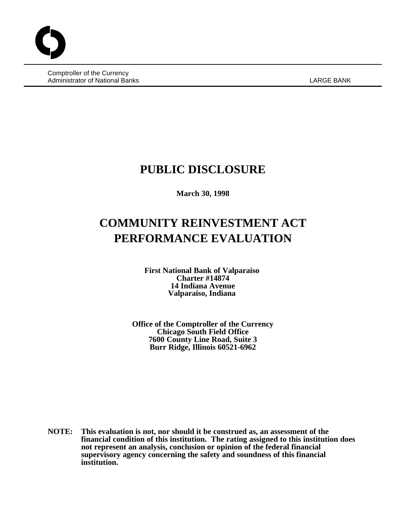Comptroller of the Currency Administrator of National Banks **LARGE BANK** LARGE BANK

# **PUBLIC DISCLOSURE**

**March 30, 1998**

# **COMMUNITY REINVESTMENT ACT PERFORMANCE EVALUATION**

**First National Bank of Valparaiso Charter #14874 14 Indiana Avenue Valparaiso, Indiana** 

**Office of the Comptroller of the Currency Chicago South Field Office 7600 County Line Road, Suite 3 Burr Ridge, Illinois 60521-6962**

**NOTE: This evaluation is not, nor should it be construed as, an assessment of the financial condition of this institution. The rating assigned to this institution does not represent an analysis, conclusion or opinion of the federal financial supervisory agency concerning the safety and soundness of this financial institution.**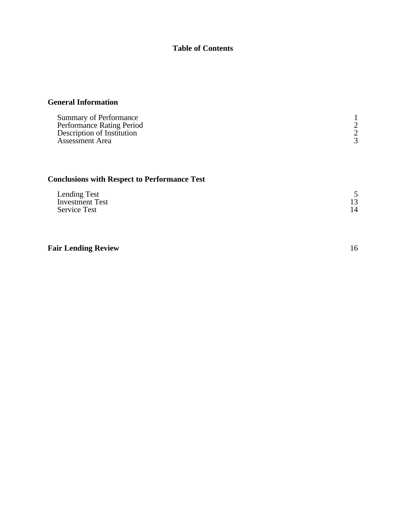### **Table of Contents**

### **General Information**

| Summary of Performance     |  |
|----------------------------|--|
| Performance Rating Period  |  |
| Description of Institution |  |
| Assessment Area            |  |

## **Conclusions with Respect to Performance Test**

| Lending Test           |  |
|------------------------|--|
| <b>Investment Test</b> |  |
| <b>Service Test</b>    |  |

### **Fair Lending Review** 16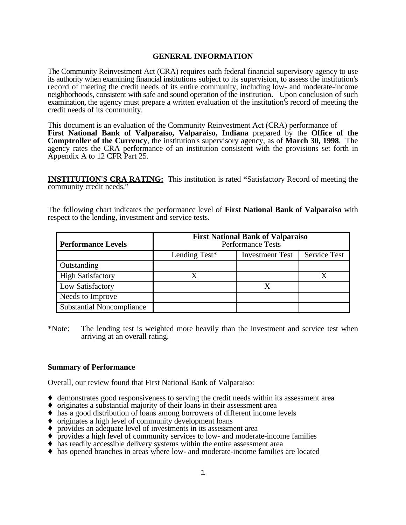#### **GENERAL INFORMATION**

The Community Reinvestment Act (CRA) requires each federal financial supervisory agency to use its authority when examining financial institutions subject to its supervision, to assess the institution's record of meeting the credit needs of its entire community, including low- and moderate-income neighborhoods, consistent with safe and sound operation of the institution. Upon conclusion of such examination, the agency must prepare a written evaluation of the institution's record of meeting the credit needs of its community.

This document is an evaluation of the Community Reinvestment Act (CRA) performance of **First National Bank of Valparaiso, Valparaiso, Indiana** prepared by the **Office of the Comptroller of the Currency**, the institution's supervisory agency, as of **March 30, 1998**. The agency rates the CRA performance of an institution consistent with the provisions set forth in Appendix A to 12 CFR Part 25.

**INSTITUTION'S CRA RATING:** This institution is rated **"**Satisfactory Record of meeting the community credit needs."

The following chart indicates the performance level of **First National Bank of Valparaiso** with respect to the lending, investment and service tests.

| <b>Performance Levels</b>        | <b>First National Bank of Valparaiso</b><br><b>Performance Tests</b> |  |  |  |  |  |  |
|----------------------------------|----------------------------------------------------------------------|--|--|--|--|--|--|
|                                  | <b>Service Test</b><br>Lending Test*<br><b>Investment Test</b>       |  |  |  |  |  |  |
| Outstanding                      |                                                                      |  |  |  |  |  |  |
| <b>High Satisfactory</b>         |                                                                      |  |  |  |  |  |  |
| Low Satisfactory                 |                                                                      |  |  |  |  |  |  |
| Needs to Improve                 |                                                                      |  |  |  |  |  |  |
| <b>Substantial Noncompliance</b> |                                                                      |  |  |  |  |  |  |

\*Note: The lending test is weighted more heavily than the investment and service test when arriving at an overall rating.

#### **Summary of Performance**

Overall, our review found that First National Bank of Valparaiso:

- $\triangleq$  demonstrates good responsiveness to serving the credit needs within its assessment area
- $\bullet$  originates a substantial majority of their loans in their assessment area
- $\bullet$  has a good distribution of loans among borrowers of different income levels
- $\bullet$  originates a high level of community development loans
- $\bullet$  provides an adequate level of investments in its assessment area
- Ç provides a high level of community services to low- and moderate-income families
- $\blacklozenge$  has readily accessible delivery systems within the entire assessment area
- Ç has opened branches in areas where low- and moderate-income families are located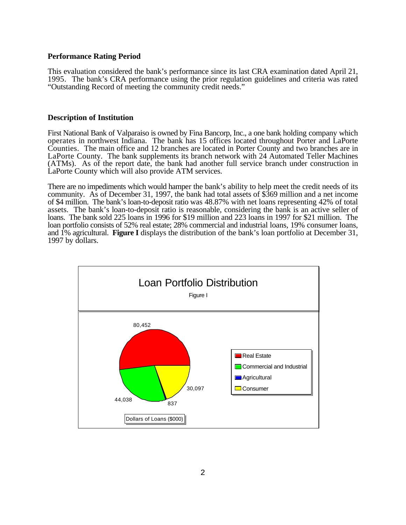#### **Performance Rating Period**

This evaluation considered the bank's performance since its last CRA examination dated April 21, 1995. The bank's CRA performance using the prior regulation guidelines and criteria was rated "Outstanding Record of meeting the community credit needs."

#### **Description of Institution**

First National Bank of Valparaiso is owned by Fina Bancorp, Inc., a one bank holding company which operates in northwest Indiana. The bank has 15 offices located throughout Porter and LaPorte Counties. The main office and 12 branches are located in Porter County and two branches are in LaPorte County. The bank supplements its branch network with 24 Automated Teller Machines (ATMs). As of the report date, the bank had another full service branch under construction in LaPorte County which will also provide ATM services.

There are no impediments which would hamper the bank's ability to help meet the credit needs of its community. As of December 31, 1997, the bank had total assets of \$369 million and a net income of \$4 million. The bank's loan-to-deposit ratio was 48.87% with net loans representing 42% of total assets. The bank's loan-to-deposit ratio is reasonable, considering the bank is an active seller of loans. The bank sold 225 loans in 1996 for \$19 million and 223 loans in 1997 for \$21 million. The loan portfolio consists of 52% real estate; 28% commercial and industrial loans, 19% consumer loans, and 1% agricultural. **Figure I** displays the distribution of the bank's loan portfolio at December 31, 1997 by dollars.

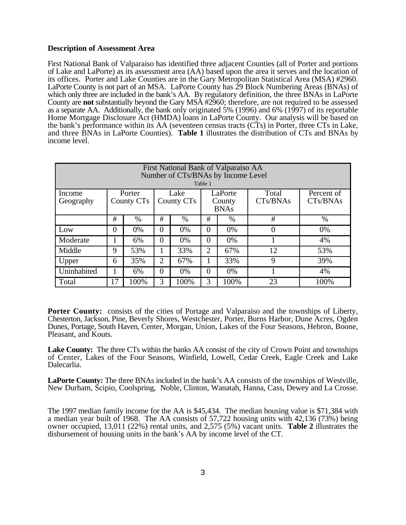#### **Description of Assessment Area**

First National Bank of Valparaiso has identified three adjacent Counties (all of Porter and portions of Lake and LaPorte) as its assessment area (AA) based upon the area it serves and the location of its offices. Porter and Lake Counties are in the Gary Metropolitan Statistical Area (MSA) #2960. LaPorte County is not part of an MSA. LaPorte County has 29 Block Numbering Areas (BNAs) of which only three are included in the bank's AA. By regulatory definition, the three BNAs in LaPorte County are **not** substantially beyond the Gary MSA #2960; therefore, are not required to be assessed as a separate AA. Additionally, the bank only originated 5% (1996) and 6% (1997) of its reportable Home Mortgage Disclosure Act (HMDA) loans in LaPorte County. Our analysis will be based on the bank's performance within its AA (seventeen census tracts (CTs) in Porter, three CTs in Lake, and three BNAs in LaPorte Counties). **Table 1** illustrates the distribution of CTs and BNAs by income level.

| First National Bank of Valparaiso AA<br>Number of CTs/BNAs by Income Level<br>Table 1 |          |                      |                                                                    |                     |                |      |                   |                        |  |
|---------------------------------------------------------------------------------------|----------|----------------------|--------------------------------------------------------------------|---------------------|----------------|------|-------------------|------------------------|--|
| Income<br>Geography                                                                   |          | Porter<br>County CTs | LaPorte<br>Lake<br>County CT <sub>s</sub><br>County<br><b>BNAs</b> |                     |                |      | Total<br>CTs/BNAs | Percent of<br>CTs/BNAs |  |
|                                                                                       | #        | $\%$                 | #                                                                  | $\%$                | #              | $\%$ | #                 | $\%$                   |  |
| Low                                                                                   | $\Omega$ | 0%                   | $\Omega$                                                           | 0%                  | $\Omega$       | 0%   | 0                 | 0%                     |  |
| Moderate                                                                              |          | 6%                   | $\Omega$                                                           | 0%                  | 0              | 0%   |                   | 4%                     |  |
| Middle                                                                                | 9        | 53%                  |                                                                    | 33%                 | $\overline{2}$ | 67%  | 12                | 53%                    |  |
| Upper                                                                                 | 6        | 35%                  | 2                                                                  | 67%                 |                | 33%  | 9                 | 39%                    |  |
| Uninhabited                                                                           |          | 6%                   | $\theta$                                                           | 4%<br>0%<br>0%<br>0 |                |      |                   |                        |  |
| Total                                                                                 | 17       | 100%                 | 3                                                                  | 100%                | 3              | 100% | 23                | 100%                   |  |

**Porter County:** consists of the cities of Portage and Valparaiso and the townships of Liberty, Chesterton, Jackson, Pine, Beverly Shores, Westchester, Porter, Burns Harbor, Dune Acres, Ogden Dunes, Portage, South Haven, Center, Morgan, Union, Lakes of the Four Seasons, Hebron, Boone, Pleasant, and Kouts.

**Lake County:** The three CTs within the banks AA consist of the city of Crown Point and townships of Center, Lakes of the Four Seasons, Winfield, Lowell, Cedar Creek, Eagle Creek and Lake Dalecarlia.

**LaPorte County:** The three BNAs included in the bank's AA consists of the townships of Westville, New Durham, Scipio, Coolspring, Noble, Clinton, Wanatah, Hanna, Cass, Dewey and La Crosse.

The 1997 median family income for the AA is \$45,434. The median housing value is \$71,384 with a median year built of 1968. The AA consists of 57,722 housing units with 42,136 (73%) being owner occupied, 13,011 (22%) rental units, and 2,575 (5%) vacant units. **Table 2** illustrates the disbursement of housing units in the bank's AA by income level of the CT.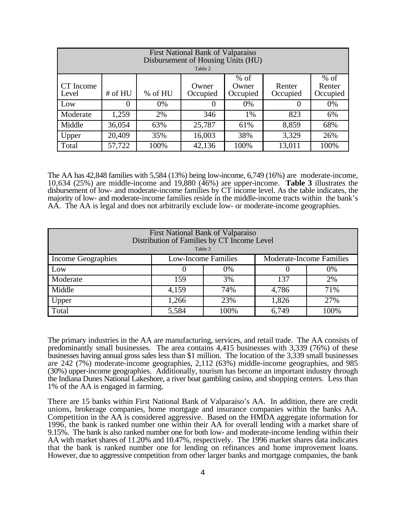| First National Bank of Valparaiso<br>Disbursement of Housing Units (HU)<br>Table 2                                                                 |        |      |          |      |          |      |  |  |  |
|----------------------------------------------------------------------------------------------------------------------------------------------------|--------|------|----------|------|----------|------|--|--|--|
| $%$ of<br>$%$ of<br>CT Income<br>Renter<br>Owner<br>Renter<br>Owner<br># of HU<br>% of HU<br>Occupied<br>Occupied<br>Occupied<br>Occupied<br>Level |        |      |          |      |          |      |  |  |  |
| Low                                                                                                                                                | 0      | 0%   | $\theta$ | 0%   | $\theta$ | 0%   |  |  |  |
| Moderate                                                                                                                                           | 1,259  | 2%   | 346      | 1%   | 823      | 6%   |  |  |  |
| Middle                                                                                                                                             | 36,054 | 63%  | 25,787   | 61%  | 8,859    | 68%  |  |  |  |
| Upper                                                                                                                                              | 20,409 | 35%  | 16,003   | 38%  | 3,329    | 26%  |  |  |  |
| Total                                                                                                                                              | 57,722 | 100% | 42,136   | 100% | 13,011   | 100% |  |  |  |

The AA has 42,848 families with 5,584 (13%) being low-income, 6,749 (16%) are moderate-income, 10,634 (25%) are middle-income and 19,880 (46%) are upper-income. **Table 3** illustrates the disbursement of low- and moderate-income families by CT income level. As the table indicates, the majority of low- and moderate-income families reside in the middle-income tracts within the bank's AA. The AA is legal and does not arbitrarily exclude low- or moderate-income geographies.

| First National Bank of Valparaiso<br>Distribution of Families by CT Income Level<br>Table 3 |       |                                                               |       |      |  |  |  |  |
|---------------------------------------------------------------------------------------------|-------|---------------------------------------------------------------|-------|------|--|--|--|--|
| Income Geographies                                                                          |       | <b>Moderate-Income Families</b><br><b>Low-Income Families</b> |       |      |  |  |  |  |
| Low                                                                                         |       | 0%                                                            |       | 0%   |  |  |  |  |
| Moderate                                                                                    | 159   | 3%                                                            | 137   | 2%   |  |  |  |  |
| Middle                                                                                      | 4,159 | 74%                                                           | 4,786 | 71%  |  |  |  |  |
| Upper                                                                                       | 1,266 | 27%                                                           |       |      |  |  |  |  |
| Total                                                                                       | 5,584 | 100%                                                          | 6,749 | 100% |  |  |  |  |

The primary industries in the AA are manufacturing, services, and retail trade. The AA consists of predominantly small businesses. The area contains 4,415 businesses with 3,339 (76%) of these businesses having annual gross sales less than \$1 million. The location of the 3,339 small businesses are 242 (7%) moderate-income geographies, 2,112 (63%) middle-income geographies, and 985 (30%) upper-income geographies. Additionally, tourism has become an important industry through the Indiana Dunes National Lakeshore, a river boat gambling casino, and shopping centers. Less than 1% of the AA is engaged in farming.

There are 15 banks within First National Bank of Valparaiso's AA. In addition, there are credit unions, brokerage companies, home mortgage and insurance companies within the banks AA. Competition in the AA is considered aggressive. Based on the HMDA aggregate information for 1996, the bank is ranked number one within their AA for overall lending with a market share of 9.15%. The bank is also ranked number one for both low- and moderate-income lending within their AA with market shares of 11.20% and 10.47%, respectively. The 1996 market shares data indicates that the bank is ranked number one for lending on refinances and home improvement loans. However, due to aggressive competition from other larger banks and mortgage companies, the bank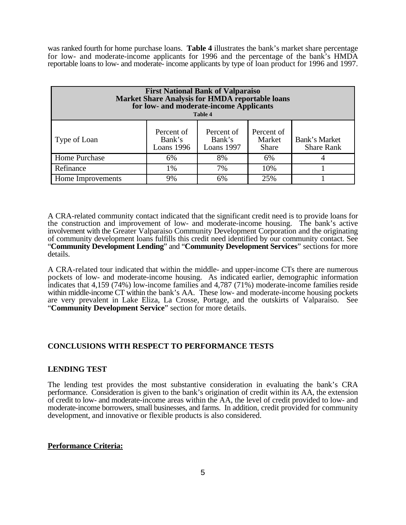was ranked fourth for home purchase loans. **Table 4** illustrates the bank's market share percentage for low- and moderate-income applicants for 1996 and the percentage of the bank's HMDA reportable loans to low- and moderate- income applicants by type of loan product for 1996 and 1997.

| <b>First National Bank of Valparaiso</b><br><b>Market Share Analysis for HMDA reportable loans</b><br>for low- and moderate-income Applicants<br><b>Table 4</b> |                                    |                                    |                                      |                                    |  |  |  |
|-----------------------------------------------------------------------------------------------------------------------------------------------------------------|------------------------------------|------------------------------------|--------------------------------------|------------------------------------|--|--|--|
| Type of Loan                                                                                                                                                    | Percent of<br>Bank's<br>Loans 1996 | Percent of<br>Bank's<br>Loans 1997 | Percent of<br>Market<br><b>Share</b> | Bank's Market<br><b>Share Rank</b> |  |  |  |
| Home Purchase                                                                                                                                                   | 6%                                 | 8%                                 | 6%                                   |                                    |  |  |  |
| Refinance                                                                                                                                                       | 1%                                 | 7%                                 | 10%                                  |                                    |  |  |  |
| Home Improvements                                                                                                                                               | 9%                                 | 6%                                 | 25%                                  |                                    |  |  |  |

A CRA-related community contact indicated that the significant credit need is to provide loans for the construction and improvement of low- and moderate-income housing. The bank's active involvement with the Greater Valparaiso Community Development Corporation and the originating of community development loans fulfills this credit need identified by our community contact. See "**Community Development Lending**" and "**Community Development Services**" sections for more details.

A CRA-related tour indicated that within the middle- and upper-income CTs there are numerous pockets of low- and moderate-income housing. As indicated earlier, demographic information indicates that 4,159 (74%) low-income families and 4,787 (71%) moderate-income families reside within middle-income CT within the bank's AA. These low- and moderate-income housing pockets are very prevalent in Lake Eliza, La Crosse, Portage, and the outskirts of Valparaiso. See "**Community Development Service**" section for more details.

#### **CONCLUSIONS WITH RESPECT TO PERFORMANCE TESTS**

#### **LENDING TEST**

The lending test provides the most substantive consideration in evaluating the bank's CRA performance. Consideration is given to the bank's origination of credit within its AA, the extension of credit to low- and moderate-income areas within the AA, the level of credit provided to low- and moderate-income borrowers, small businesses, and farms. In addition, credit provided for community development, and innovative or flexible products is also considered.

#### **Performance Criteria:**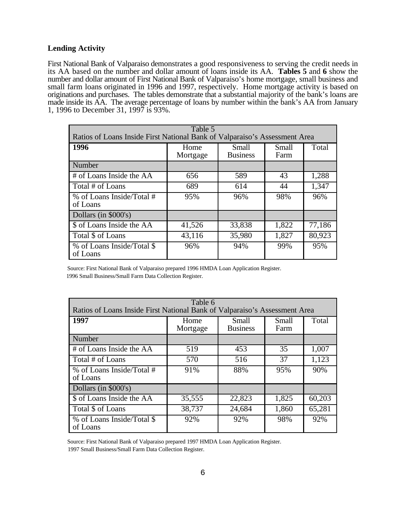#### **Lending Activity**

First National Bank of Valparaiso demonstrates a good responsiveness to serving the credit needs in its AA based on the number and dollar amount of loans inside its AA. **Tables 5** and **6** show the number and dollar amount of First National Bank of Valparaiso's home mortgage, small business and small farm loans originated in 1996 and 1997, respectively. Home mortgage activity is based on originations and purchases. The tables demonstrate that a substantial majority of the bank's loans are made inside its AA. The average percentage of loans by number within the bank's AA from January 1, 1996 to December 31, 1997 is 93%.

| Table 5<br>Ratios of Loans Inside First National Bank of Valparaiso's Assessment Area |                  |                          |               |        |  |  |  |
|---------------------------------------------------------------------------------------|------------------|--------------------------|---------------|--------|--|--|--|
| 1996                                                                                  | Home<br>Mortgage | Small<br><b>Business</b> | Small<br>Farm | Total  |  |  |  |
| Number                                                                                |                  |                          |               |        |  |  |  |
| # of Loans Inside the AA                                                              | 656              | 589                      | 43            | 1,288  |  |  |  |
| Total # of Loans                                                                      | 689              | 614                      | 44            | 1,347  |  |  |  |
| % of Loans Inside/Total #<br>of Loans                                                 | 95%              | 96%                      | 98%           | 96%    |  |  |  |
| Dollars (in \$000's)                                                                  |                  |                          |               |        |  |  |  |
| \$ of Loans Inside the AA                                                             | 41,526           | 33,838                   | 1,822         | 77,186 |  |  |  |
| Total \$ of Loans                                                                     | 43,116           | 35,980                   | 1,827         | 80,923 |  |  |  |
| % of Loans Inside/Total \$<br>of Loans                                                | 96%              | 94%                      | 99%           | 95%    |  |  |  |

 Source: First National Bank of Valparaiso prepared 1996 HMDA Loan Application Register. 1996 Small Business/Small Farm Data Collection Register.

| Table 6<br>Ratios of Loans Inside First National Bank of Valparaiso's Assessment Area |                  |                          |               |        |  |  |  |
|---------------------------------------------------------------------------------------|------------------|--------------------------|---------------|--------|--|--|--|
| 1997                                                                                  | Home<br>Mortgage | Small<br><b>Business</b> | Small<br>Farm | Total  |  |  |  |
| Number                                                                                |                  |                          |               |        |  |  |  |
| # of Loans Inside the AA                                                              | 519              | 453                      | 35            | 1,007  |  |  |  |
| Total # of Loans                                                                      | 570              | 516                      | 37            | 1,123  |  |  |  |
| % of Loans Inside/Total #<br>of Loans                                                 | 91%              | 88%                      | 95%           | 90%    |  |  |  |
| Dollars (in \$000's)                                                                  |                  |                          |               |        |  |  |  |
| \$ of Loans Inside the AA                                                             | 35,555           | 22,823                   | 1,825         | 60,203 |  |  |  |
| Total \$ of Loans                                                                     | 38,737           | 24,684                   | 1,860         | 65,281 |  |  |  |
| % of Loans Inside/Total \$<br>of Loans                                                | 92%              | 92%                      | 98%           | 92%    |  |  |  |

Source: First National Bank of Valparaiso prepared 1997 HMDA Loan Application Register.

1997 Small Business/Small Farm Data Collection Register.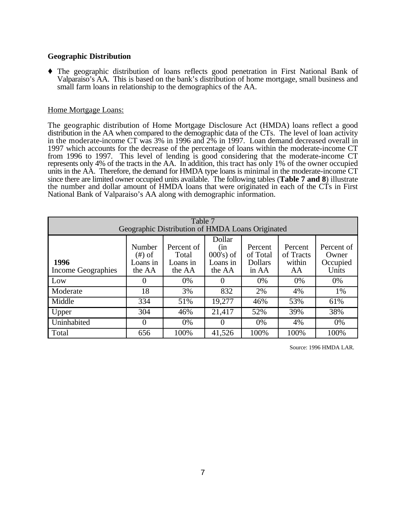#### **Geographic Distribution**

Ç The geographic distribution of loans reflects good penetration in First National Bank of Valparaiso's AA. This is based on the bank's distribution of home mortgage, small business and small farm loans in relationship to the demographics of the AA.

#### Home Mortgage Loans:

The geographic distribution of Home Mortgage Disclosure Act (HMDA) loans reflect a good distribution in the AA when compared to the demographic data of the CTs. The level of loan activity in the moderate-income CT was 3% in 1996 and 2% in 1997. Loan demand decreased overall in 1997 which accounts for the decrease of the percentage of loans within the moderate-income CT from 1996 to 1997. This level of lending is good considering that the moderate-income CT represents only 4% of the tracts in the AA. In addition, this tract has only 1% of the owner occupied units in the AA. Therefore, the demand for HMDA type loans is minimal in the moderate-income CT since there are limited owner occupied units available. The following tables (**Table 7 and 8**) illustrate the number and dollar amount of HMDA loans that were originated in each of the CTs in First National Bank of Valparaiso's AA along with demographic information.

| Table 7<br>Geographic Distribution of HMDA Loans Originated |                                                                                                                                                                                                                                                                                       |      |                   |      |      |      |  |
|-------------------------------------------------------------|---------------------------------------------------------------------------------------------------------------------------------------------------------------------------------------------------------------------------------------------------------------------------------------|------|-------------------|------|------|------|--|
| 1996<br><b>Income Geographies</b>                           | Dollar<br>Number<br>Percent of<br>Percent<br>Percent of<br>Percent<br>(in<br>$000$ 's) of<br>of Total<br>of Tracts<br>$(\#)$ of<br>Total<br>Owner<br>Loans in<br>within<br><b>Dollars</b><br>Occupied<br>Loans in<br>Loans in<br>Units<br>AA<br>the AA<br>the AA<br>the AA<br>in $AA$ |      |                   |      |      |      |  |
| Low                                                         |                                                                                                                                                                                                                                                                                       | 0%   | $\mathbf{\Omega}$ | 0%   | 0%   | 0%   |  |
| Moderate                                                    | 18                                                                                                                                                                                                                                                                                    | 3%   | 832               | 2%   | 4%   | 1%   |  |
| Middle                                                      | 334                                                                                                                                                                                                                                                                                   | 51%  | 19,277            | 46%  | 53%  | 61%  |  |
| Upper                                                       | 304                                                                                                                                                                                                                                                                                   | 46%  | 21,417            | 52%  | 39%  | 38%  |  |
| Uninhabited                                                 | $\left( \right)$                                                                                                                                                                                                                                                                      | 0%   | O                 | 0%   | 4%   | 0%   |  |
| Total                                                       | 656                                                                                                                                                                                                                                                                                   | 100% | 41,526            | 100% | 100% | 100% |  |

Source: 1996 HMDA LAR.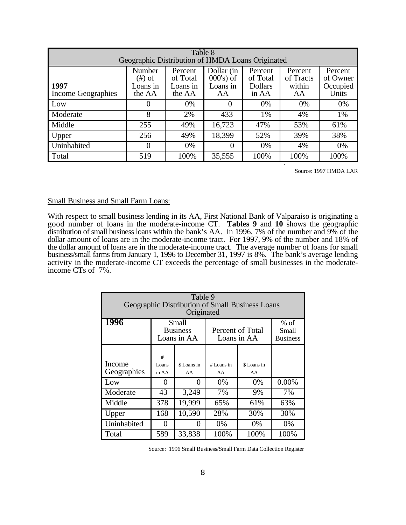| Table 8<br>Geographic Distribution of HMDA Loans Originated |                                           |                                           |                                              |                                                |                                      |                                          |  |
|-------------------------------------------------------------|-------------------------------------------|-------------------------------------------|----------------------------------------------|------------------------------------------------|--------------------------------------|------------------------------------------|--|
| 1997<br>Income Geographies                                  | Number<br>$(\#)$ of<br>Loans in<br>the AA | Percent<br>of Total<br>Loans in<br>the AA | Dollar (in<br>$000$ 's) of<br>Loans in<br>AA | Percent<br>of Total<br><b>Dollars</b><br>in AA | Percent<br>of Tracts<br>within<br>AA | Percent<br>of Owner<br>Occupied<br>Units |  |
| Low                                                         | $\theta$                                  | 0%                                        | $\Omega$                                     | 0%                                             | 0%                                   | 0%                                       |  |
| Moderate                                                    | 8                                         | 2%                                        | 433                                          | 1%                                             | 4%                                   | 1%                                       |  |
| Middle                                                      | 255                                       | 49%                                       | 16,723                                       | 47%                                            | 53%                                  | 61%                                      |  |
| Upper                                                       | 256                                       | 49%                                       | 18,399                                       | 52%                                            | 39%                                  | 38%                                      |  |
| Uninhabited                                                 | $\theta$                                  | 0%                                        | $\theta$                                     | 0%                                             | 4%                                   | 0%                                       |  |
| Total                                                       | 519                                       | 100%                                      | 35,555                                       | 100%                                           | 100%                                 | 100%                                     |  |

Source: 1997 HMDA LAR

#### Small Business and Small Farm Loans:

With respect to small business lending in its AA, First National Bank of Valparaiso is originating a good number of loans in the moderate-income CT. **Tables 9** and **10** shows the geographic distribution of small business loans within the bank's AA. In 1996, 7% of the number and 9% of the dollar amount of loans are in the moderate-income tract. For 1997, 9% of the number and 18% of the dollar amount of loans are in the moderate-income tract. The average number of loans for small business/small farms from January 1, 1996 to December 31, 1997 is 8%. The bank's average lending activity in the moderate-income CT exceeds the percentage of small businesses in the moderateincome CTs of 7%.

| Table 9<br>Geographic Distribution of Small Business Loans<br>Originated |                                                                            |                   |                  |                   |                                    |  |  |  |
|--------------------------------------------------------------------------|----------------------------------------------------------------------------|-------------------|------------------|-------------------|------------------------------------|--|--|--|
| <b>1996</b>                                                              | Small<br><b>Business</b><br>Percent of Total<br>Loans in AA<br>Loans in AA |                   |                  |                   | $%$ of<br>Small<br><b>Business</b> |  |  |  |
| Income<br>Geographies                                                    | #<br>Loans<br>in AA                                                        | \$ Loans in<br>AA | # Loans in<br>AA | \$ Loans in<br>AA |                                    |  |  |  |
| Low                                                                      | $\mathbf{\Omega}$                                                          | $\mathbf{\Omega}$ | 0%               | $0\%$             | 0.00%                              |  |  |  |
| Moderate                                                                 | 43                                                                         | 3,249             | 7%               | 9%                | 7%                                 |  |  |  |
| Middle                                                                   | 378                                                                        | 19,999            | 65%              | 61%               | 63%                                |  |  |  |
| Upper                                                                    | 168                                                                        | 10,590            | 28%              | 30%               | 30%                                |  |  |  |
| Uninhabited                                                              | 0                                                                          | 0                 | $0\%$            | 0%                | $0\%$                              |  |  |  |
| Total                                                                    | 589                                                                        | 33,838            | 100%             | 100%              | 100%                               |  |  |  |

Source: 1996 Small Business/Small Farm Data Collection Register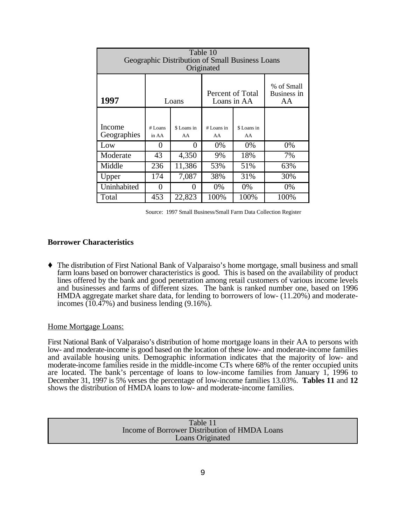| Table 10<br>Geographic Distribution of Small Business Loans<br>Originated |                    |                   |                    |                                 |                                 |  |  |  |  |  |
|---------------------------------------------------------------------------|--------------------|-------------------|--------------------|---------------------------------|---------------------------------|--|--|--|--|--|
| 1997                                                                      |                    | Loans             |                    | Percent of Total<br>Loans in AA | % of Small<br>Business in<br>AA |  |  |  |  |  |
| Income<br>Geographies                                                     | $#$ Loans<br>in AA | \$ Loans in<br>AA | $#$ Loans in<br>AA | \$ Loans in<br>AA               |                                 |  |  |  |  |  |
| Low                                                                       | 0                  | 0                 | 0%                 | 0%                              | 0%                              |  |  |  |  |  |
| Moderate                                                                  | 43                 | 4,350             | 9%                 | 18%                             | 7%                              |  |  |  |  |  |
| Middle                                                                    | 236                | 11,386            | 53%                | 51%                             | 63%                             |  |  |  |  |  |
| Upper                                                                     | 174                | 7,087             | 38%                | 31%                             | 30%                             |  |  |  |  |  |
| Uninhabited                                                               | 0                  | 0                 | $0\%$              | $0\%$                           | $0\%$                           |  |  |  |  |  |
| Total                                                                     | 453                | 22,823            | 100%               | 100%                            | 100%                            |  |  |  |  |  |

Source: 1997 Small Business/Small Farm Data Collection Register

#### **Borrower Characteristics**

Ç The distribution of First National Bank of Valparaiso's home mortgage, small business and small farm loans based on borrower characteristics is good. This is based on the availability of product lines offered by the bank and good penetration among retail customers of various income levels and businesses and farms of different sizes. The bank is ranked number one, based on 1996 HMDA aggregate market share data, for lending to borrowers of low- (11.20%) and moderateincomes  $(10.47\%)$  and business lending  $(9.16\%).$ 

#### Home Mortgage Loans:

First National Bank of Valparaiso's distribution of home mortgage loans in their AA to persons with low- and moderate-income is good based on the location of these low- and moderate-income families and available housing units. Demographic information indicates that the majority of low- and moderate-income families reside in the middle-income CTs where 68% of the renter occupied units are located. The bank's percentage of loans to low-income families from January 1, 1996 to December 31, 1997 is 5% verses the percentage of low-income families 13.03%. **Tables 11** and **12** shows the distribution of HMDA loans to low- and moderate-income families.

| Table 11                                      |
|-----------------------------------------------|
| Income of Borrower Distribution of HMDA Loans |
| <b>Loans Originated</b>                       |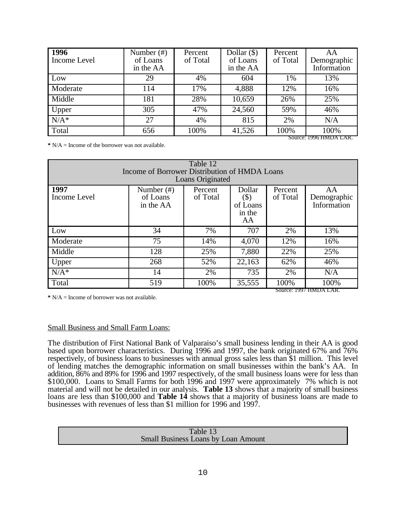| <b>1996</b><br>Income Level | Number $(\#)$<br>of Loans<br>in the AA | Percent<br>of Total | Dollar $(\$)$<br>of Loans<br>in the AA | Percent<br>of Total | AA<br>Demographic<br>Information |
|-----------------------------|----------------------------------------|---------------------|----------------------------------------|---------------------|----------------------------------|
| Low                         | 29                                     | 4%                  | 604                                    | 1%                  | 13%                              |
| Moderate                    | 114                                    | 17%                 | 4,888                                  | 12%                 | 16%                              |
| Middle                      | 181                                    | 28%                 | 10,659                                 | 26%                 | 25%                              |
| Upper                       | 305                                    | 47%                 | 24,560                                 | 59%                 | 46%                              |
| $N/A^*$                     | 27                                     | 4%                  | 815                                    | 2%                  | N/A                              |
| Total                       | 656                                    | 100%                | 41,526                                 | 100%                | 100%<br>Source: 1996 HMDA LAR    |

**\*** N/A = Income of the borrower was not available.

| Table 12<br>Income of Borrower Distribution of HMDA Loans |                                        |                     |                                              |                     |                                  |  |  |  |  |
|-----------------------------------------------------------|----------------------------------------|---------------------|----------------------------------------------|---------------------|----------------------------------|--|--|--|--|
| Loans Originated                                          |                                        |                     |                                              |                     |                                  |  |  |  |  |
| 1997<br>Income Level                                      | Number $(\#)$<br>of Loans<br>in the AA | Percent<br>of Total | Dollar<br>$(\$)$<br>of Loans<br>in the<br>AA | Percent<br>of Total | AA<br>Demographic<br>Information |  |  |  |  |
| Low                                                       | 34                                     | 7%                  | 707                                          | 2%                  | 13%                              |  |  |  |  |
| Moderate                                                  | 75                                     | 14%                 | 4,070                                        | 12%                 | 16%                              |  |  |  |  |
| Middle                                                    | 128                                    | 25%                 | 7,880                                        | 22%                 | 25%                              |  |  |  |  |
| Upper                                                     | 268                                    | 52%                 | 22,163                                       | 62%                 | 46%                              |  |  |  |  |
| $N/A^*$                                                   | 14                                     | 2%                  | 735                                          | 2%                  | N/A                              |  |  |  |  |
| Total                                                     | 519                                    | 100%                | 35,555                                       | 100%                | 100%<br>Source: 1997 HMDA LAR.   |  |  |  |  |

**\*** N/A = Income of borrower was not available.

#### Small Business and Small Farm Loans:

The distribution of First National Bank of Valparaiso's small business lending in their AA is good based upon borrower characteristics. During 1996 and 1997, the bank originated 67% and 76% respectively, of business loans to businesses with annual gross sales less than \$1 million. This level of lending matches the demographic information on small businesses within the bank's AA. In addition, 86% and 89% for 1996 and 1997 respectively, of the small business loans were for less than \$100,000. Loans to Small Farms for both 1996 and 1997 were approximately 7% which is not material and will not be detailed in our analysis. **Table 13** shows that a majority of small business loans are less than \$100,000 and **Table 14** shows that a majority of business loans are made to businesses with revenues of less than \$1 million for 1996 and 1997.

| Table 13                                   |  |
|--------------------------------------------|--|
| <b>Small Business Loans by Loan Amount</b> |  |
|                                            |  |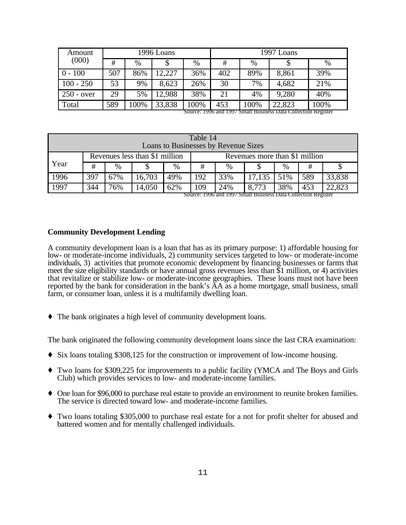| Amount       |     |      | 1996 Loans |      | 1997 Loans |      |        |      |
|--------------|-----|------|------------|------|------------|------|--------|------|
| (000)        | #   | $\%$ |            | $\%$ | #          | $\%$ |        | $\%$ |
| $0 - 100$    | 507 | 86%  | 12,227     | 36%  | 402        | 89%  | 8,861  | 39%  |
| $100 - 250$  | 53  | 9%   | 8,623      | 26%  | 30         | 7%   | 4,682  | 21%  |
| $250 - over$ | 29  | 5%   | 12,988     | 38%  | 21         | 4%   | 9,280  | 40%  |
| Total        | 589 | 100% | 33,838     | 100% | 453        | 100% | 22,823 | 100% |

Source: 1996 and 1997 Small Business Data Collection Register

| Table 14<br>Loans to Businesses by Revenue Sizes                         |     |        |     |     |      |        |     |     |                                                               |
|--------------------------------------------------------------------------|-----|--------|-----|-----|------|--------|-----|-----|---------------------------------------------------------------|
| Revenues less than \$1 million<br>Revenues more than \$1 million<br>Year |     |        |     |     |      |        |     |     |                                                               |
| #                                                                        | %   |        | %   | #   | $\%$ |        | %   | #   |                                                               |
| 397                                                                      | 67% | 16,703 | 49% | 192 | 33%  | 17,135 | 51% | 589 | 33,838                                                        |
| 344                                                                      | 76% | 14,050 | 62% | 109 | 24%  | 8,773  | 38% | 453 | 22,823                                                        |
|                                                                          |     |        |     |     |      |        |     |     | Source: 1996 and 1997 Small Business Data Collection Register |

#### **Community Development Lending**

A community development loan is a loan that has as its primary purpose: 1) affordable housing for low- or moderate-income individuals, 2) community services targeted to low- or moderate-income individuals, 3) activities that promote economic development by financing businesses or farms that meet the size eligibility standards or have annual gross revenues less than \$1 million, or 4) activities that revitalize or stabilize low- or moderate-income geographies. These loans must not have been reported by the bank for consideration in the bank's AA as a home mortgage, small business, small farm, or consumer loan, unless it is a multifamily dwelling loan.

 $\blacklozenge$  The bank originates a high level of community development loans.

The bank originated the following community development loans since the last CRA examination:

- $\blacklozenge$  Six loans totaling \$308,125 for the construction or improvement of low-income housing.
- Ç Two loans for \$309,225 for improvements to a public facility (YMCA and The Boys and Girls Club) which provides services to low- and moderate-income families.
- One loan for \$96,000 to purchase real estate to provide an environment to reunite broken families. The service is directed toward low- and moderate-income families.
- Ç Two loans totaling \$305,000 to purchase real estate for a not for profit shelter for abused and battered women and for mentally challenged individuals.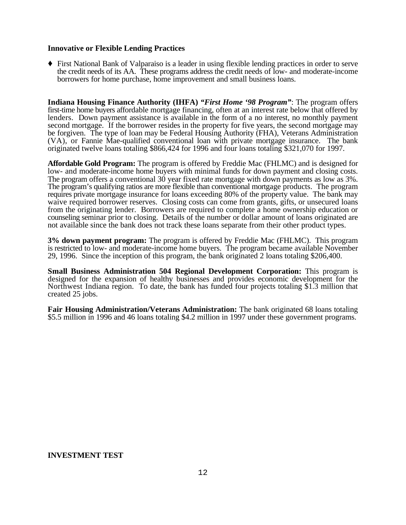#### **Innovative or Flexible Lending Practices**

Ç First National Bank of Valparaiso is a leader in using flexible lending practices in order to serve the credit needs of its AA. These programs address the credit needs of low- and moderate-income borrowers for home purchase, home improvement and small business loans.

**Indiana Housing Finance Authority (IHFA)** *"First Home '98 Program"*: The program offers first-time home buyers affordable mortgage financing, often at an interest rate below that offered by lenders. Down payment assistance is available in the form of a no interest, no monthly payment second mortgage. If the borrower resides in the property for five years, the second mortgage may be forgiven. The type of loan may be Federal Housing Authority (FHA), Veterans Administration (VA), or Fannie Mae-qualified conventional loan with private mortgage insurance. The bank originated twelve loans totaling \$866,424 for 1996 and four loans totaling \$321,070 for 1997.

**Affordable Gold Program:** The program is offered by Freddie Mac (FHLMC) and is designed for low- and moderate-income home buyers with minimal funds for down payment and closing costs. The program offers a conventional 30 year fixed rate mortgage with down payments as low as 3%. The program's qualifying ratios are more flexible than conventional mortgage products. The program requires private mortgage insurance for loans exceeding 80% of the property value. The bank may waive required borrower reserves. Closing costs can come from grants, gifts, or unsecured loans from the originating lender. Borrowers are required to complete a home ownership education or counseling seminar prior to closing. Details of the number or dollar amount of loans originated are not available since the bank does not track these loans separate from their other product types.

**3% down payment program:** The program is offered by Freddie Mac (FHLMC). This program is restricted to low- and moderate-income home buyers. The program became available November 29, 1996. Since the inception of this program, the bank originated 2 loans totaling \$206,400.

**Small Business Administration 504 Regional Development Corporation:** This program is designed for the expansion of healthy businesses and provides economic development for the Northwest Indiana region. To date, the bank has funded four projects totaling \$1.3 million that created 25 jobs.

**Fair Housing Administration/Veterans Administration:** The bank originated 68 loans totaling \$5.5 million in 1996 and 46 loans totaling \$4.2 million in 1997 under these government programs.

#### **INVESTMENT TEST**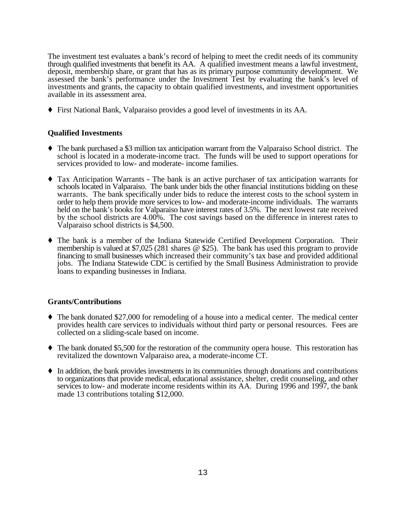The investment test evaluates a bank's record of helping to meet the credit needs of its community through qualified investments that benefit its AA. A qualified investment means a lawful investment, deposit, membership share, or grant that has as its primary purpose community development. We assessed the bank's performance under the Investment Test by evaluating the bank's level of investments and grants, the capacity to obtain qualified investments, and investment opportunities available in its assessment area.

Ç First National Bank, Valparaiso provides a good level of investments in its AA.

#### **Qualified Investments**

- Ç The bank purchased a \$3 million tax anticipation warrant from the Valparaiso School district. The school is located in a moderate-income tract. The funds will be used to support operations for services provided to low- and moderate- income families.
- Ç Tax Anticipation Warrants **-** The bank is an active purchaser of tax anticipation warrants for schools located in Valparaiso. The bank under bids the other financial institutions bidding on these warrants. The bank specifically under bids to reduce the interest costs to the school system in order to help them provide more services to low- and moderate-income individuals. The warrants held on the bank's books for Valparaiso have interest rates of 3.5%. The next lowest rate received by the school districts are 4.00%. The cost savings based on the difference in interest rates to Valparaiso school districts is \$4,500.
- Ç The bank is a member of the Indiana Statewide Certified Development Corporation. Their membership is valued at \$7,025 (281 shares @ \$25). The bank has used this program to provide financing to small businesses which increased their community's tax base and provided additional jobs. The Indiana Statewide CDC is certified by the Small Business Administration to provide loans to expanding businesses in Indiana.

#### **Grants/Contributions**

- $\blacklozenge$  The bank donated \$27,000 for remodeling of a house into a medical center. The medical center provides health care services to individuals without third party or personal resources. Fees are collected on a sliding-scale based on income.
- $\blacklozenge$  The bank donated \$5,500 for the restoration of the community opera house. This restoration has revitalized the downtown Valparaiso area, a moderate-income CT.
- $\blacklozenge$  In addition, the bank provides investments in its communities through donations and contributions to organizations that provide medical, educational assistance, shelter, credit counseling, and other services to low- and moderate income residents within its AA. During 1996 and 1997, the bank made 13 contributions totaling \$12,000.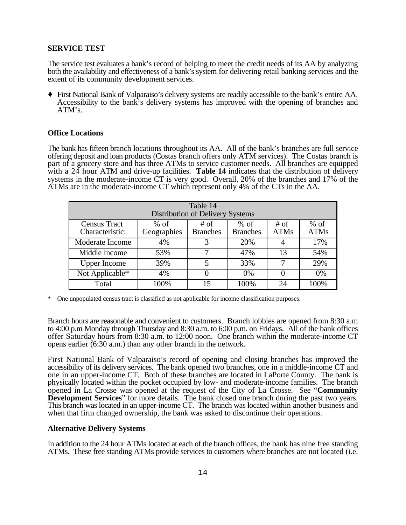#### **SERVICE TEST**

The service test evaluates a bank's record of helping to meet the credit needs of its AA by analyzing both the availability and effectiveness of a bank's system for delivering retail banking services and the extent of its community development services.

Ç First National Bank of Valparaiso's delivery systems are readily accessible to the bank's entire AA. Accessibility to the bank's delivery systems has improved with the opening of branches and ATM's.

#### **Office Locations**

The bank has fifteen branch locations throughout its AA. All of the bank's branches are full service offering deposit and loan products (Costas branch offers only ATM services). The Costas branch is part of a grocery store and has three ATMs to service customer needs. All branches are equipped with a 24 hour ATM and drive-up facilities. **Table 14** indicates that the distribution of delivery systems in the moderate-income  $\tilde{C}T$  is very good. Overall, 20% of the branches and 17% of the ATMs are in the moderate-income CT which represent only 4% of the CTs in the AA.

| Table 14<br><b>Distribution of Delivery Systems</b> |                       |                         |                           |                       |                       |  |  |  |  |
|-----------------------------------------------------|-----------------------|-------------------------|---------------------------|-----------------------|-----------------------|--|--|--|--|
| <b>Census Tract</b><br>Characteristic:              | $%$ of<br>Geographies | # of<br><b>Branches</b> | $%$ of<br><b>Branches</b> | $#$ of<br><b>ATMs</b> | $%$ of<br><b>ATMs</b> |  |  |  |  |
| Moderate Income                                     | 4%                    | 3                       | 20%                       |                       | 17%                   |  |  |  |  |
| Middle Income                                       | 53%                   | 7                       | 47%                       | 13                    | 54%                   |  |  |  |  |
| <b>Upper Income</b>                                 | 39%                   | 5                       | 33%                       |                       | 29%                   |  |  |  |  |
| Not Applicable*                                     | 4%                    | $\theta$                | $0\%$                     |                       | 0%                    |  |  |  |  |
| Total                                               | 100%                  | 15                      | 100%                      | 24                    | 100%                  |  |  |  |  |

\* One unpopulated census tract is classified as not applicable for income classification purposes.

Branch hours are reasonable and convenient to customers. Branch lobbies are opened from 8:30 a.m to 4:00 p.m Monday through Thursday and 8:30 a.m. to 6:00 p.m. on Fridays. All of the bank offices offer Saturday hours from 8:30 a.m. to 12:00 noon. One branch within the moderate-income CT opens earlier (6:30 a.m.) than any other branch in the network.

First National Bank of Valparaiso's record of opening and closing branches has improved the accessibility of its delivery services. The bank opened two branches, one in a middle-income CT and one in an upper-income CT. Both of these branches are located in LaPorte County. The bank is physically located within the pocket occupied by low- and moderate-income families. The branch opened in La Crosse was opened at the request of the City of La Crosse. See "**Community Development Services**" for more details. The bank closed one branch during the past two years. This branch was located in an upper-income CT. The branch was located within another business and when that firm changed ownership, the bank was asked to discontinue their operations.

#### **Alternative Delivery Systems**

In addition to the 24 hour ATMs located at each of the branch offices, the bank has nine free standing ATMs. These free standing ATMs provide services to customers where branches are not located (i.e.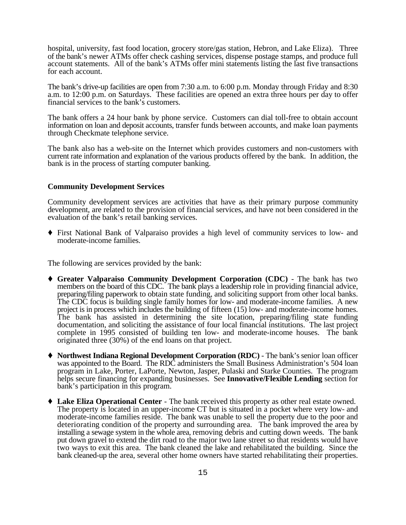hospital, university, fast food location, grocery store/gas station, Hebron, and Lake Eliza). Three of the bank's newer ATMs offer check cashing services, dispense postage stamps, and produce full account statements. All of the bank's ATMs offer mini statements listing the last five transactions for each account.

The bank's drive-up facilities are open from 7:30 a.m. to 6:00 p.m. Monday through Friday and 8:30 a.m. to 12:00 p.m. on Saturdays. These facilities are opened an extra three hours per day to offer financial services to the bank's customers.

The bank offers a 24 hour bank by phone service. Customers can dial toll-free to obtain account information on loan and deposit accounts, transfer funds between accounts, and make loan payments through Checkmate telephone service.

The bank also has a web-site on the Internet which provides customers and non-customers with current rate information and explanation of the various products offered by the bank. In addition, the bank is in the process of starting computer banking.

#### **Community Development Services**

Community development services are activities that have as their primary purpose community development, are related to the provision of financial services, and have not been considered in the evaluation of the bank's retail banking services.

Ç First National Bank of Valparaiso provides a high level of community services to low- and moderate-income families.

The following are services provided by the bank:

- Ç **Greater Valparaiso Community Development Corporation (CDC)**  The bank has two members on the board of this CDC. The bank plays a leadership role in providing financial advice, preparing/filing paperwork to obtain state funding, and soliciting support from other local banks. The CDC focus is building single family homes for low- and moderate-income families. A new project is in process which includes the building of fifteen (15) low- and moderate-income homes. The bank has assisted in determining the site location, preparing/filing state funding documentation, and soliciting the assistance of four local financial institutions. The last project complete in 1995 consisted of building ten low- and moderate-income houses. The bank originated three (30%) of the end loans on that project.
- ◆ **Northwest Indiana Regional Development Corporation (RDC)** The bank's senior loan officer was appointed to the Board. The RDC administers the Small Business Administration's 504 loan program in Lake, Porter, LaPorte, Newton, Jasper, Pulaski and Starke Counties. The program helps secure financing for expanding businesses. See **Innovative/Flexible Lending** section for bank's participation in this program.
- Ç **Lake Eliza Operational Center** The bank received this property as other real estate owned. The property is located in an upper-income CT but is situated in a pocket where very low- and moderate-income families reside. The bank was unable to sell the property due to the poor and deteriorating condition of the property and surrounding area. The bank improved the area by installing a sewage system in the whole area, removing debris and cutting down weeds. The bank put down gravel to extend the dirt road to the major two lane street so that residents would have two ways to exit this area. The bank cleaned the lake and rehabilitated the building. Since the bank cleaned-up the area, several other home owners have started rehabilitating their properties.